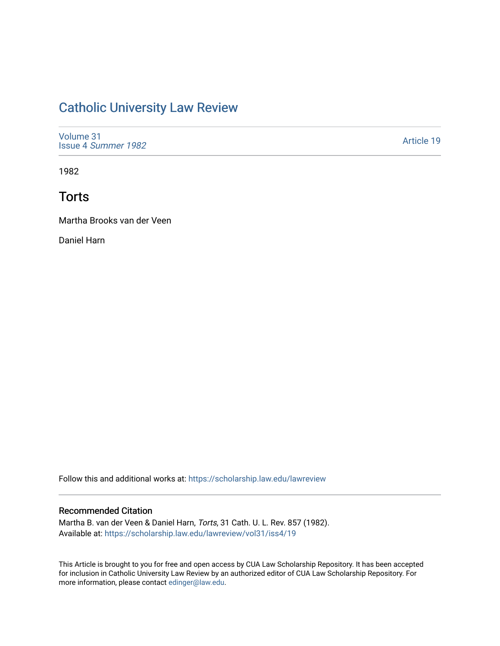# [Catholic University Law Review](https://scholarship.law.edu/lawreview)

| Volume 31           |  |  |
|---------------------|--|--|
| Issue 4 Summer 1982 |  |  |

[Article 19](https://scholarship.law.edu/lawreview/vol31/iss4/19) 

1982

# **Torts**

Martha Brooks van der Veen

Daniel Harn

Follow this and additional works at: [https://scholarship.law.edu/lawreview](https://scholarship.law.edu/lawreview?utm_source=scholarship.law.edu%2Flawreview%2Fvol31%2Fiss4%2F19&utm_medium=PDF&utm_campaign=PDFCoverPages)

### Recommended Citation

Martha B. van der Veen & Daniel Harn, Torts, 31 Cath. U. L. Rev. 857 (1982). Available at: [https://scholarship.law.edu/lawreview/vol31/iss4/19](https://scholarship.law.edu/lawreview/vol31/iss4/19?utm_source=scholarship.law.edu%2Flawreview%2Fvol31%2Fiss4%2F19&utm_medium=PDF&utm_campaign=PDFCoverPages) 

This Article is brought to you for free and open access by CUA Law Scholarship Repository. It has been accepted for inclusion in Catholic University Law Review by an authorized editor of CUA Law Scholarship Repository. For more information, please contact [edinger@law.edu.](mailto:edinger@law.edu)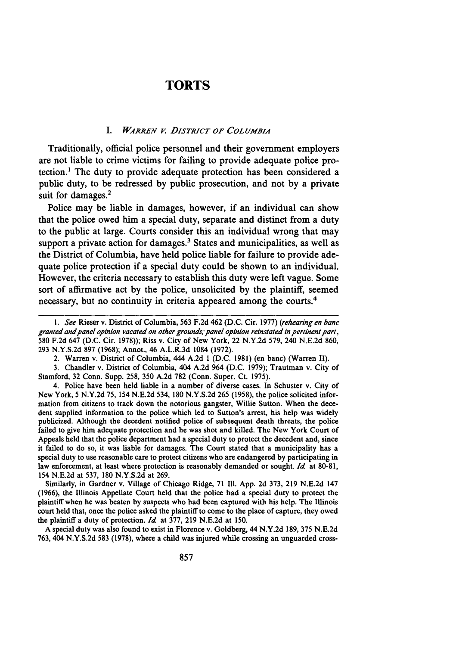### **TORTS**

#### *I. WARREN V DISTRICT OF COLUMBIA*

Traditionally, official police personnel and their government employers are not liable to crime victims for failing to provide adequate police protection.' The duty to provide adequate protection has been considered a public duty, to be redressed by public prosecution, and not by a private suit for damages.<sup>2</sup>

Police may be liable in damages, however, if an individual can show that the police owed him a special duty, separate and distinct from a duty to the public at large. Courts consider this an individual wrong that may support a private action for damages.<sup>3</sup> States and municipalities, as well as the District of Columbia, have held police liable for failure to provide adequate police protection if a special duty could be shown to an individual. However, the criteria necessary to establish this duty were left vague. Some sort of affirmative act by the police, unsolicited by the plaintiff, seemed necessary, but no continuity in criteria appeared among the courts.<sup>4</sup>

3. Chandler v. District of Columbia, 404 A.2d 964 (D.C. 1979); Trautman v. City of Stamford, 32 Conn. Supp. 258, 350 A.2d 782 (Conn. Super. Ct. 1975).

4. Police have been held liable in a number of diverse cases. In Schuster v. City of New York, 5 N.Y.2d 75, 154 N.E.2d 534, 180 N.Y.S.2d 265 (1958), the police solicited information from citizens to track down the notorious gangster, Willie Sutton. When the decedent supplied information to the police which led to Sutton's arrest, his help was widely publicized. Although the decedent notified police of subsequent death threats, the police failed to give him adequate protection and he was shot and killed. The New York Court of Appeals held that the police department had a special duty to protect the decedent and, since it failed to do so, it was liable for damages. The Court stated that a municipality has a special duty to use reasonable care to protect citizens who are endangered **by** participating in law enforcement, at least where protection is reasonably demanded or sought. *Id* at **80-81,** 154 **N.E.2d** at 537, **180 N.Y.S.2d** at **269.**

Similarly, in Gardner v. Village of Chicago Ridge, **71 Ill. App. 2d** 373, **219 N.E.2d** 147 **(1966),** the Illinois Appellate Court held that the police had a special duty to protect the plaintiff when he was beaten **by** suspects who had been captured with his help. The Illinois court held that, once the police asked the plaintiff to come to the place of capture, they owed the plaintiff a duty of protection. *Id* at **377, 219 N.E.2d** at **150.**

**A** special duty was also found to exist in Florence v. Goldberg, 44 **N.Y.2d 189,** 375 **N.E.2d 763,** 404 **N.Y.S.2d 583 (1978),** where a child was injured while crossing an unguarded cross-

*<sup>1.</sup> See* Rieser v. District of Columbia, 563 F.2d 462 (D.C. Cir. 1977) *(rehearing en banc granted and panel opinion vacated on other grounds; panel opinion reinstated in pertinent part,* 580 F.2d 647 (D.C. Cir. 1978)); Riss v. City of New York, 22 N.Y.2d 579, 240 N.E.2d 860, 293 N.Y.S.2d 897 (1968); Annot., 46 A.L.R.3d 1084 (1972).

<sup>2.</sup> Warren v. District of Columbia, 444 A.2d **I** (D.C. 1981) (en banc) (Warren II).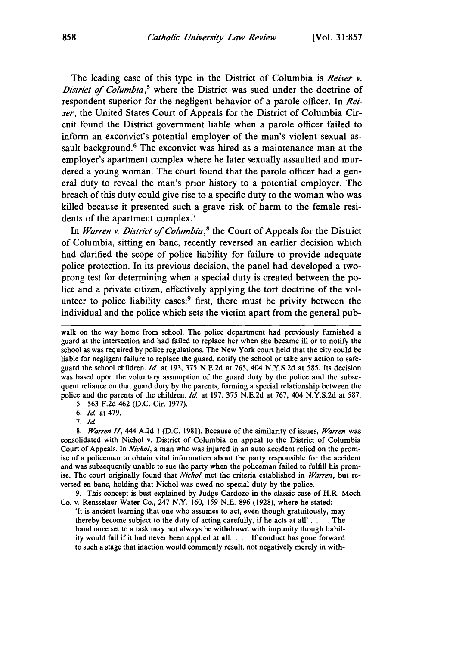The leading case of this type in the District of Columbia is *Reiser v.* District of *Columbia,'* where the District was sued under the doctrine of respondent superior for the negligent behavior of a parole officer. In *Reiser,* the United States Court of Appeals for the District of Columbia Circuit found the District government liable when a parole officer failed to inform an exconvict's potential employer of the man's violent sexual assault background.<sup>6</sup> The exconvict was hired as a maintenance man at the employer's apartment complex where he later sexually assaulted and murdered a young woman. The court found that the parole officer had a general duty to reveal the man's prior history to a potential employer. The breach of this duty could give rise to a specific duty to the woman who was killed because it presented such a grave risk of harm to the female residents of the apartment complex.<sup>7</sup>

In *Warren v. District of Columbia,8* the Court of Appeals for the District of Columbia, sitting en banc, recently reversed an earlier decision which had clarified the scope of police liability for failure to provide adequate police protection. In its previous decision, the panel had developed a twoprong test for determining when a special duty is created between the police and a private citizen, effectively applying the tort doctrine of the volunteer to police liability cases:<sup>9</sup> first, there must be privity between the individual and the police which sets the victim apart from the general pub-

5. 563 F.2d 462 (D.C. Cir. 1977).

*6. Id* at 479.

7. *Id*

*8. Warren HI,* 444 A.2d **I** (D.C. 1981). Because of the similarity of issues, *Warren* was consolidated with Nichol v. District of Columbia on appeal to the District of Columbia Court of Appeals. In *Nichol,* a man who was injured in an auto accident relied on the promise of a policeman to obtain vital information about the party responsible for the accident and was subsequently unable to sue the party when the policeman failed to fulfill his promise. The court originally found that *Nichol* met the criteria established in *Warren,* but reversed en banc, holding that Nichol was owed no special duty by the police.

9. This concept is best explained by Judge Cardozo in the classic case of H.R. Moch Co. v. Rensselaer Water Co., 247 N.Y. 160, 159 N.E. 896 (1928), where he stated:

'It is ancient learning that one who assumes to act, even though gratuitously, may thereby become subject to the duty of acting carefully, if he acts at **all'....** The hand once set to a task may not always be withdrawn with impunity though liability would fail if it had never been applied at all **....** If conduct has gone forward to such a stage that inaction would commonly result, not negatively merely in with-

walk on the way home from school. The police department had previously furnished a guard at the intersection and had failed to replace her when she became ill or to notify the school as was required by police regulations. The New York court held that the city could be liable for negligent failure to replace the guard, notify the school or take any action to safeguard the school children. *Id* at 193, 375 N.E.2d at 765, 404 N.YS.2d at 585. Its decision was based upon the voluntary assumption of the guard duty by the police and the subsequent reliance on that guard duty by the parents, forming a special relationship between the police and the parents of the children. *Id.* at 197, 375 N.E.2d at 767, 404 N.Y.S.2d at 587.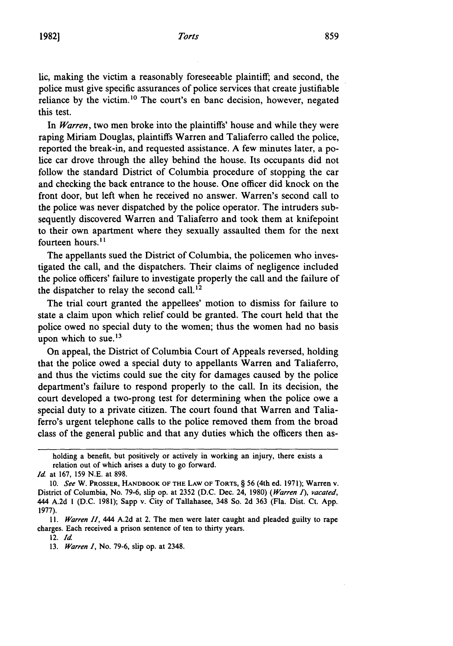#### *Torts*

lic, making the victim a reasonably foreseeable plaintiff; and second, the police must give specific assurances of police services that create justifiable reliance by the victim.<sup>10</sup> The court's en banc decision, however, negated this test.

In *Warren,* two men broke into the plaintiffs' house and while they were raping Miriam Douglas, plaintiffs Warren and Taliaferro called the police, reported the break-in, and requested assistance. A few minutes later, a police car drove through the alley behind the house. Its occupants did not follow the standard District of Columbia procedure of stopping the car and checking the back entrance to the house. One officer did knock on the front door, but left when he received no answer. Warren's second call to the police was never dispatched by the police operator. The intruders subsequently discovered Warren and Taliaferro and took them at knifepoint to their own apartment where they sexually assaulted them for the next fourteen hours.<sup>11</sup>

The appellants sued the District of Columbia, the policemen who investigated the call, and the dispatchers. Their claims of negligence included the police officers' failure to investigate properly the call and the failure of the dispatcher to relay the second call.<sup>12</sup>

The trial court granted the appellees' motion to dismiss for failure to state a claim upon which relief could be granted. The court held that the police owed no special duty to the women; thus the women had no basis upon which to sue. $^{13}$ 

On appeal, the District of Columbia Court of Appeals reversed, holding that the police owed a special duty to appellants Warren and Taliaferro, and thus the victims could sue the city for damages caused by the police department's failure to respond properly to the call. In its decision, the court developed a two-prong test for determining when the police owe a special duty to a private citizen. The court found that Warren and Taliaferro's urgent telephone calls to the police removed them from the broad class of the general public and that any duties which the officers then as-

holding a benefit, but positively or actively in working an injury, there exists a relation out of which arises a duty to go forward.

*Id.* at 167, 159 N.E. at 898.

<sup>10.</sup> *See* W. PROSSER, HANDBOOK **OF** THE LAW OF TORTS, § 56 (4th ed. 1971); Warren v. District of Columbia, No. 79-6, slip op. at 2352 (D.C. Dec. 24, 1980) *(Warren I), vacated,* 444 A.2d **I** (D.C. 1981); Sapp v. City of Tallahasee, 348 So. 2d 363 (Fla. Dist. Ct. App. 1977).

*<sup>11.</sup> Warren HI,* 444 A.2d at 2. The men were later caught and pleaded guilty to rape charges. Each received a prison sentence of ten to thirty years.

<sup>12.</sup> *Id*

<sup>13.</sup> *Warren 1,* No. 79-6, slip op. at 2348.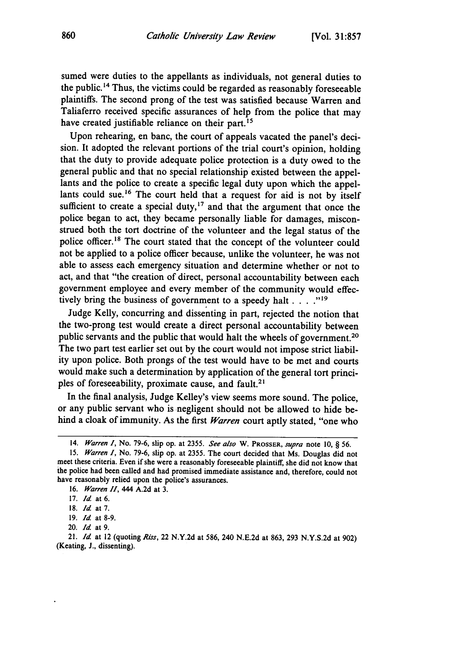sumed were duties to the appellants as individuals, not general duties to the public. 14 Thus, the victims could be regarded as reasonably foreseeable plaintiffs. The second prong of the test was satisfied because Warren and Taliaferro received specific assurances of help from the police that may have created justifiable reliance on their part.<sup>15</sup>

Upon rehearing, en banc, the court of appeals vacated the panel's decision. It adopted the relevant portions of the trial court's opinion, holding that the duty to provide adequate police protection is a duty owed to the general public and that no special relationship existed between the appellants and the police to create a specific legal duty upon which the appellants could sue.<sup>16</sup> The court held that a request for aid is not by itself sufficient to create a special duty,<sup>17</sup> and that the argument that once the police began to act, they became personally liable for damages, misconstrued both the tort doctrine of the volunteer and the legal status of the police officer.<sup>18</sup> The court stated that the concept of the volunteer could not be applied to a police officer because, unlike the volunteer, he was not able to assess each emergency situation and determine whether or not to act, and that "the creation of direct, personal accountability between each government employee and every member of the community would effectively bring the business of government to a speedy halt . . . . "<sup>19</sup>

Judge Kelly, concurring and dissenting in part, rejected the notion that the two-prong test would create a direct personal accountability between public servants and the public that would halt the wheels of government.<sup>20</sup> The two part test earlier set out by the court would not impose strict liability upon police. Both prongs of the test would have to be met and courts would make such a determination by application of the general tort principles of foreseeability, proximate cause, and fault.<sup>21</sup>

In the final analysis, Judge Kelley's view seems more sound. The police, or any public servant who is negligent should not be allowed to hide behind a cloak of immunity. As the first *Warren* court aptly stated, "one who

<sup>14.</sup> *Warren I,* No. **79-6,** slip op. at 2355. *See also* W. **PROSSER,** *supra* note **10,** § 56.

<sup>15.</sup> *Warren 1,* No. 79-6, slip op. at 2355. The court decided that Ms. Douglas did not meet these criteria. Even if she were a reasonably foreseeable plaintiff, she did not know that the police had been called and had promised immediate assistance and, therefore, could not have reasonably relied upon the police's assurances.

<sup>16.</sup> *Warren HI,* 444 A.2d at 3.

<sup>17.</sup> *Id* at 6.

**<sup>18.</sup>** *Id* at 7.

<sup>19.</sup> *Id* at 8-9.

<sup>20.</sup> *Id* at 9.

<sup>21.</sup> *Id* at 12 (quoting *Rirs,* 22 N.Y.2d at 586, 240 N.E.2d at 863, 293 N.Y.S.2d at 902) (Keating, **J.,** dissenting).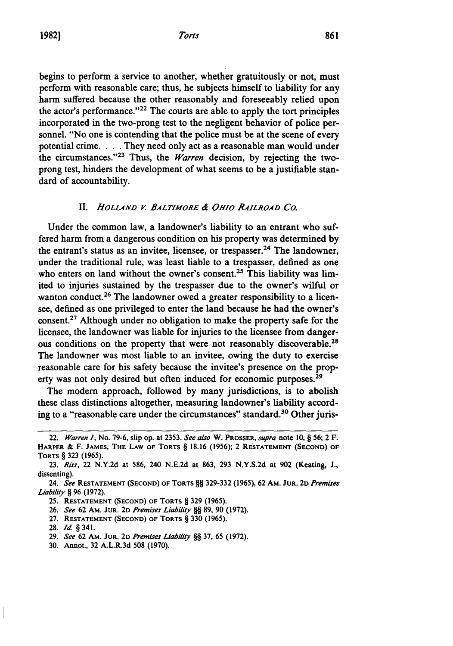begins to perform a service to another, whether gratuitously or not, must perform with reasonable care; thus, he subjects himself to liability for any harm suffered because the other reasonably and foreseeably relied upon the actor's performance."<sup>22</sup> The courts are able to apply the tort principles incorporated in the two-prong test to the negligent behavior of police personnel. "No one is contending that the police must be at the scene of every potential crime. . **.** .They need only act as a reasonable man would under the circumstances. '23 Thus, the *Warren* decision, **by** rejecting the twoprong test, hinders the development of what seems to be a justifiable standard of accountability.

#### II. HOLLAND V. BALTIMORE & OHIO RAILROAD CO.

Under the common law, a landowner's liability to an entrant who suffered harm from a dangerous condition on his property was determined **by** the entrant's status as an invitee, licensee, or trespasser.<sup>24</sup> The landowner, under the traditional rule, was least liable to a trespasser, defined as one who enters on land without the owner's consent.<sup>25</sup> This liability was limited to injuries sustained **by** the trespasser due to the owner's wilful or wanton conduct.<sup>26</sup> The landowner owed a greater responsibility to a licensee, defined as one privileged to enter the land because he had the owner's consent.27 Although under no obligation to make the property safe for the licensee, the landowner was liable for injuries to the licensee from dangerous conditions on the property that were not reasonably discoverable.<sup>28</sup> The landowner was most liable to an invitee, owing the duty to exercise reasonable care for his safety because the invitee's presence on the property was not only desired but often induced for economic purposes.<sup>29</sup>

The modem approach, followed **by** many jurisdictions, is to abolish these class distinctions altogether, measuring landowner's liability according to a "reasonable care under the circumstances" standard.<sup>30</sup> Other juris-

**27. RESTATEMENT (SECOND) OF TORTS** § **330 (1965).**

- **29.** *See* **62 AM. JUR. 2D** *Premises Liability §§* **37,** 65 **(1972).**
- **30.** Annot., **32** A.L.R.3d **508 (1970).**

<sup>22.</sup> *Warren I,* No. **79-6,** slip op. at **2353.** *See also* W. PROSSER, *supra* note **10,** § 56; 2 F. **HARPER &** F. **JAMES, THE LAW OF TORTS** § **18.16 (1956);** 2 **RESTATEMENT (SECOND) OF TORTS** § **323 (1965).**

**<sup>23.</sup>** *Riss,* 22 **N.Y.2d** at **586,** 240 **N.E.2d** at **863, 293 N.Y.S.2d** at **902** (Keating, **J.,** dissenting).

<sup>24.</sup> *See* **RESTATEMENT (SECOND) OF TORTS** §§ **329-332 (1965), 62** AM. **JUR.** 2D *Premises Liability §* **96 (1972).**

**<sup>25.</sup> RESTATEMENT (SECOND) OF TORTS** § **329 (1965).**

**<sup>26.</sup>** *See* **62 AM. JUR. 2D** *Premises Liability §§* **89, 90 (1972).**

**<sup>28.</sup>** *Id* § 341.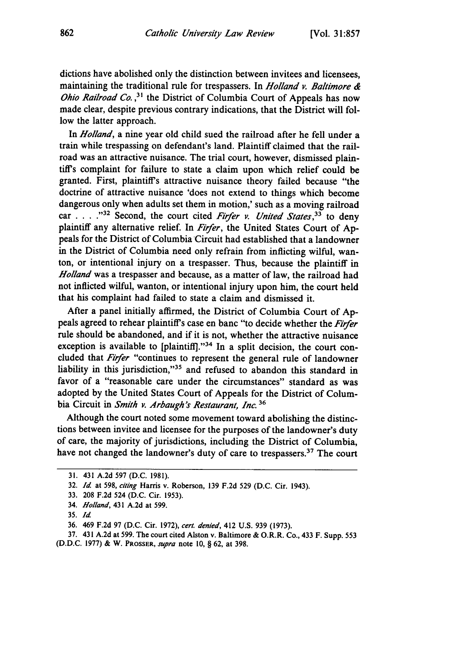dictions have abolished only the distinction between invitees and licensees, maintaining the traditional rule for trespassers. In *Holland v. Baltimore & Ohio Railroad Co.*,<sup>31</sup> the District of Columbia Court of Appeals has now made clear, despite previous contrary indications, that the District will follow the latter approach.

In *Holland,* a nine year old child sued the railroad after he fell under a train while trespassing on defendant's land. Plaintiff claimed that the railroad was an attractive nuisance. The trial court, however, dismissed plaintiff's complaint for failure to state a claim upon which relief could be granted. First, plaintiffs attractive nuisance theory failed because "the doctrine of attractive nuisance 'does not extend to things which become dangerous only when adults set them in motion,' such as a moving railroad car . . . . <sup>32</sup> Second, the court cited *Firfer v. United States*,<sup>33</sup> to deny plaintiff any alternative relief. In *Firfer,* the United States Court of Appeals for the District of Columbia Circuit had established that a landowner in the District of Columbia need only refrain from inflicting wilful, wanton, or intentional injury on a trespasser. Thus, because the plaintiff in *Holland* was a trespasser and because, as a matter of law, the railroad had not inflicted wilful, wanton, or intentional injury upon him, the court held that his complaint had failed to state a claim and dismissed it.

After a panel initially affirmed, the District of Columbia Court of Appeals agreed to rehear plaintiffs case en banc "to decide whether the *Fir/er* rule should be abandoned, and if it is not, whether the attractive nuisance exception is available to [plaintiff]."<sup>34</sup> In a split decision, the court concluded that *Fir/er* "continues to represent the general rule of landowner liability in this jurisdiction,"35 and refused to abandon this standard in favor of a "reasonable care under the circumstances" standard as was adopted by the United States Court of Appeals for the District of Columbia Circuit in *Smith v. Arbaugh's Restaurant, Inc. 36*

Although the court noted some movement toward abolishing the distinctions between invitee and licensee for the purposes of the landowner's duty of care, the majority of jurisdictions, including the District of Columbia, have not changed the landowner's duty of care to trespassers.<sup>37</sup> The court

<sup>31. 431</sup> A.2d 597 (D.C. 1981).

<sup>32.</sup> *Id* at 598, citing Harris v. Roberson, 139 F.2d 529 (D.C. Cir. 1943).

<sup>33. 208</sup> F.2d 524 (D.C. Cir. 1953).

<sup>34.</sup> *Holland,* 431 A.2d at 599.

<sup>35.</sup> *Id*

<sup>36. 469</sup> F.2d 97 (D.C. Cir. 1972), *cert. denied,* 412 U.S. 939 (1973).

<sup>37. 431</sup> A.2d at 599. The court cited Alston v. Baltimore & O.R.R. Co., 433 F. Supp. 553

<sup>(</sup>D.D.C. 1977) & W. PROSSER, supra note 10, § 62, at 398.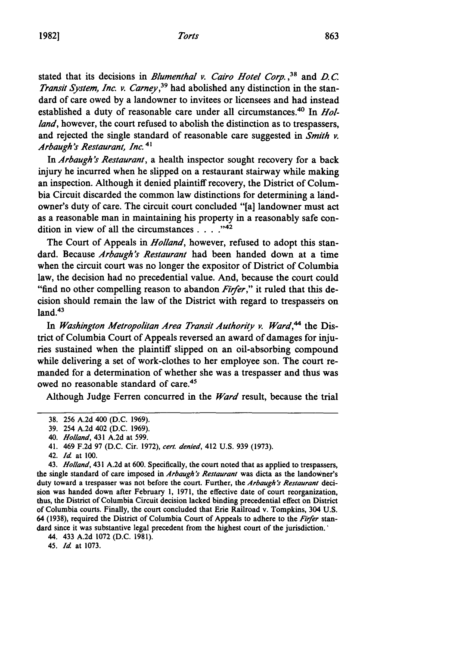stated that its decisions in *Blumenthal v. Cairo Hotel Corp. ,38* and *D. C. Transit System, Inc. v. Carney,39* had abolished any distinction in the standard of care owed by a landowner to invitees or licensees and had instead established a duty of reasonable care under all circumstances.<sup>40</sup> In *Holland*, however, the court refused to abolish the distinction as to trespassers, and rejected the single standard of reasonable care suggested in *Smith v. Arbaugh 's Restaurant, Inc.* **4 1**

In *Arbaugh's Restaurant,* a health inspector sought recovery for a back injury he incurred when he slipped on a restaurant stairway while making an inspection. Although it denied plaintiff recovery, the District of Columbia Circuit discarded the common law distinctions for determining a landowner's duty of care. The circuit court concluded "[a] landowner must act as a reasonable man in maintaining his property in a reasonably safe con dition in view of all the circumstances  $\ldots$ <sup>242</sup>

The Court of Appeals in *Holland,* however, refused to adopt this standard. Because *Arbaugh's Restaurant* had been handed down at a time when the circuit court was no longer the expositor of District of Columbia law, the decision had no precedential value. And, because the court could "find no other compelling reason to abandon *Firfer,"* it ruled that this decision should remain the law of the District with regard to trespassers on  $land.<sup>43</sup>$ 

In *Washington Metropolitan Area Transit Authority v. Ward*,<sup>44</sup> the District of Columbia Court of Appeals reversed an award of damages for injuries sustained when the plaintiff slipped on an oil-absorbing compound while delivering a set of work-clothes to her employee son. The court remanded for a determination of whether she was a trespasser and thus was owed no reasonable standard of care.45

Although Judge Ferren concurred in the *Ward* result, because the trial

42. *Id* at **100.**

43. *Holland,* 431 A.2d at 600. Specifically, the court noted that as applied to trespassers, the single standard of care imposed in *Arbaugh's Restaurant* was dicta as the landowner's duty toward a trespasser was not before the court. Further, the *Arbaugh's Restaurant* decision was handed down after February 1, 1971, the effective date of court reorganization, thus, the District of Columbia Circuit decision lacked binding precedential effect on District of Columbia courts. Finally, the court concluded that Erie Railroad v. Tompkins, 304 U.S. 64 (1938), required the District of Columbia Court of Appeals to adhere to the *Firfer* standard since it was substantive legal precedent from the highest court of the jurisdiction.'

44. 433 A.2d 1072 (D.C. 1981).

45. *Id* at 1073.

**<sup>38. 256</sup> A.2d** 400 **(D.C. 1969).**

**<sup>39.</sup>** 254 **A.2d** 402 **(D.C. 1969).**

<sup>40.</sup> *Holland,* 431 **A.2d** at **599.**

<sup>41. 469</sup> **F.2d 97 (D.C.** Cir. **1972),** *cert. denied,* 412 **U.S. 939 (1973).**